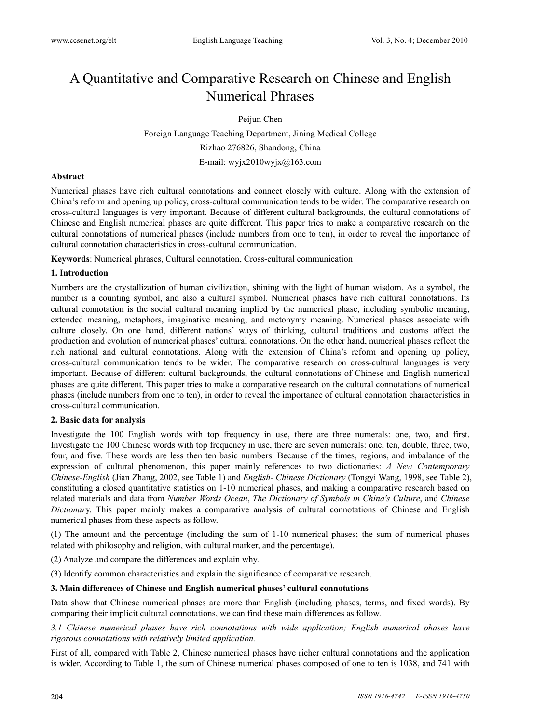# A Quantitative and Comparative Research on Chinese and English Numerical Phrases

Peijun Chen

Foreign Language Teaching Department, Jining Medical College Rizhao 276826, Shandong, China E-mail: wyjx2010wyjx@163.com

#### **Abstract**

Numerical phases have rich cultural connotations and connect closely with culture. Along with the extension of China's reform and opening up policy, cross-cultural communication tends to be wider. The comparative research on cross-cultural languages is very important. Because of different cultural backgrounds, the cultural connotations of Chinese and English numerical phases are quite different. This paper tries to make a comparative research on the cultural connotations of numerical phases (include numbers from one to ten), in order to reveal the importance of cultural connotation characteristics in cross-cultural communication.

**Keywords**: Numerical phrases, Cultural connotation, Cross-cultural communication

## **1. Introduction**

Numbers are the crystallization of human civilization, shining with the light of human wisdom. As a symbol, the number is a counting symbol, and also a cultural symbol. Numerical phases have rich cultural connotations. Its cultural connotation is the social cultural meaning implied by the numerical phase, including symbolic meaning, extended meaning, metaphors, imaginative meaning, and metonymy meaning. Numerical phases associate with culture closely. On one hand, different nations' ways of thinking, cultural traditions and customs affect the production and evolution of numerical phases' cultural connotations. On the other hand, numerical phases reflect the rich national and cultural connotations. Along with the extension of China's reform and opening up policy, cross-cultural communication tends to be wider. The comparative research on cross-cultural languages is very important. Because of different cultural backgrounds, the cultural connotations of Chinese and English numerical phases are quite different. This paper tries to make a comparative research on the cultural connotations of numerical phases (include numbers from one to ten), in order to reveal the importance of cultural connotation characteristics in cross-cultural communication.

## **2. Basic data for analysis**

Investigate the 100 English words with top frequency in use, there are three numerals: one, two, and first. Investigate the 100 Chinese words with top frequency in use, there are seven numerals: one, ten, double, three, two, four, and five. These words are less then ten basic numbers. Because of the times, regions, and imbalance of the expression of cultural phenomenon, this paper mainly references to two dictionaries: *A New Contemporary Chinese-English* (Jian Zhang, 2002, see Table 1) and *English- Chinese Dictionary* (Tongyi Wang, 1998, see Table 2), constituting a closed quantitative statistics on 1-10 numerical phases, and making a comparative research based on related materials and data from *Number Words Ocean*, *The Dictionary of Symbols in China's Culture*, and *Chinese Dictionar*y. This paper mainly makes a comparative analysis of cultural connotations of Chinese and English numerical phases from these aspects as follow.

(1) The amount and the percentage (including the sum of 1-10 numerical phases; the sum of numerical phases related with philosophy and religion, with cultural marker, and the percentage).

(2) Analyze and compare the differences and explain why.

(3) Identify common characteristics and explain the significance of comparative research.

#### **3. Main differences of Chinese and English numerical phases' cultural connotations**

Data show that Chinese numerical phases are more than English (including phases, terms, and fixed words). By comparing their implicit cultural connotations, we can find these main differences as follow.

*3.1 Chinese numerical phases have rich connotations with wide application; English numerical phases have rigorous connotations with relatively limited application.* 

First of all, compared with Table 2, Chinese numerical phases have richer cultural connotations and the application is wider. According to Table 1, the sum of Chinese numerical phases composed of one to ten is 1038, and 741 with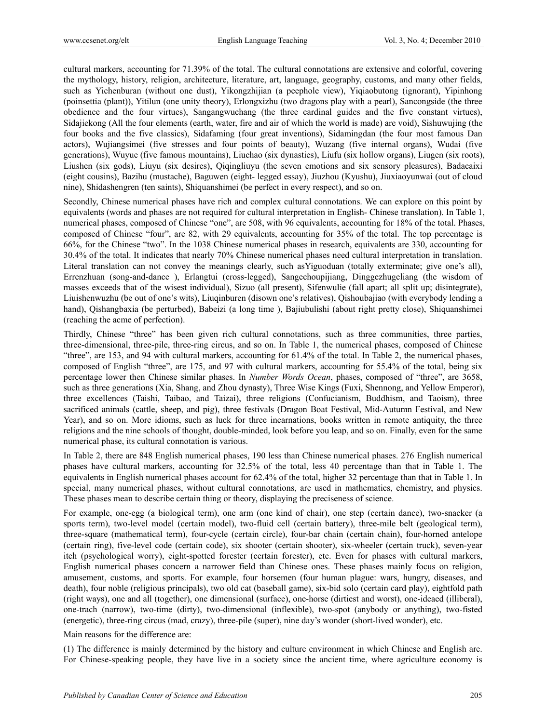cultural markers, accounting for 71.39% of the total. The cultural connotations are extensive and colorful, covering the mythology, history, religion, architecture, literature, art, language, geography, customs, and many other fields, such as Yichenburan (without one dust), Yikongzhijian (a peephole view), Yiqiaobutong (ignorant), Yipinhong (poinsettia (plant)), Yitilun (one unity theory), Erlongxizhu (two dragons play with a pearl), Sancongside (the three obedience and the four virtues), Sangangwuchang (the three cardinal guides and the five constant virtues), Sidajiekong (All the four elements (earth, water, fire and air of which the world is made) are void), Sishuwujing (the four books and the five classics), Sidafaming (four great inventions), Sidamingdan (the four most famous Dan actors), Wujiangsimei (five stresses and four points of beauty), Wuzang (five internal organs), Wudai (five generations), Wuyue (five famous mountains), Liuchao (six dynasties), Liufu (six hollow organs), Liugen (six roots), Liushen (six gods), Liuyu (six desires), Qiqingliuyu (the seven emotions and six sensory pleasures), Badacaixi (eight cousins), Bazihu (mustache), Baguwen (eight- legged essay), Jiuzhou (Kyushu), Jiuxiaoyunwai (out of cloud nine), Shidashengren (ten saints), Shiquanshimei (be perfect in every respect), and so on.

Secondly, Chinese numerical phases have rich and complex cultural connotations. We can explore on this point by equivalents (words and phases are not required for cultural interpretation in English- Chinese translation). In Table 1, numerical phases, composed of Chinese "one", are 508, with 96 equivalents, accounting for 18% of the total. Phases, composed of Chinese "four", are 82, with 29 equivalents, accounting for 35% of the total. The top percentage is 66%, for the Chinese "two". In the 1038 Chinese numerical phases in research, equivalents are 330, accounting for 30.4% of the total. It indicates that nearly 70% Chinese numerical phases need cultural interpretation in translation. Literal translation can not convey the meanings clearly, such as Yiguoduan (totally exterminate; give one's all), Errenzhuan (song-and-dance ), Erlangtui (cross-legged), Sangechoupijiang, Dinggezhugeliang (the wisdom of masses exceeds that of the wisest individual), Sizuo (all present), Sifenwulie (fall apart; all split up; disintegrate), Liuishenwuzhu (be out of one's wits), Liuqinburen (disown one's relatives), Qishoubajiao (with everybody lending a hand), Qishangbaxia (be perturbed), Babeizi (a long time ), Bajiubulishi (about right pretty close), Shiquanshimei (reaching the acme of perfection).

Thirdly, Chinese "three" has been given rich cultural connotations, such as three communities, three parties, three-dimensional, three-pile, three-ring circus, and so on. In Table 1, the numerical phases, composed of Chinese "three", are 153, and 94 with cultural markers, accounting for 61.4% of the total. In Table 2, the numerical phases, composed of English "three", are 175, and 97 with cultural markers, accounting for 55.4% of the total, being six percentage lower then Chinese similar phases. In *Number Words Ocean*, phases, composed of "three", are 3658, such as three generations (Xia, Shang, and Zhou dynasty), Three Wise Kings (Fuxi, Shennong, and Yellow Emperor), three excellences (Taishi, Taibao, and Taizai), three religions (Confucianism, Buddhism, and Taoism), three sacrificed animals (cattle, sheep, and pig), three festivals (Dragon Boat Festival, Mid-Autumn Festival, and New Year), and so on. More idioms, such as luck for three incarnations, books written in remote antiquity, the three religions and the nine schools of thought, double-minded, look before you leap, and so on. Finally, even for the same numerical phase, its cultural connotation is various.

In Table 2, there are 848 English numerical phases, 190 less than Chinese numerical phases. 276 English numerical phases have cultural markers, accounting for 32.5% of the total, less 40 percentage than that in Table 1. The equivalents in English numerical phases account for 62.4% of the total, higher 32 percentage than that in Table 1. In special, many numerical phases, without cultural connotations, are used in mathematics, chemistry, and physics. These phases mean to describe certain thing or theory, displaying the preciseness of science.

For example, one-egg (a biological term), one arm (one kind of chair), one step (certain dance), two-snacker (a sports term), two-level model (certain model), two-fluid cell (certain battery), three-mile belt (geological term), three-square (mathematical term), four-cycle (certain circle), four-bar chain (certain chain), four-horned antelope (certain ring), five-level code (certain code), six shooter (certain shooter), six-wheeler (certain truck), seven-year itch (psychological worry), eight-spotted forester (certain forester), etc. Even for phases with cultural markers, English numerical phases concern a narrower field than Chinese ones. These phases mainly focus on religion, amusement, customs, and sports. For example, four horsemen (four human plague: wars, hungry, diseases, and death), four noble (religious principals), two old cat (baseball game), six-bid solo (certain card play), eightfold path (right ways), one and all (together), one dimensional (surface), one-horse (dirtiest and worst), one-ideaed (illiberal), one-trach (narrow), two-time (dirty), two-dimensional (inflexible), two-spot (anybody or anything), two-fisted (energetic), three-ring circus (mad, crazy), three-pile (super), nine day's wonder (short-lived wonder), etc.

Main reasons for the difference are:

(1) The difference is mainly determined by the history and culture environment in which Chinese and English are. For Chinese-speaking people, they have live in a society since the ancient time, where agriculture economy is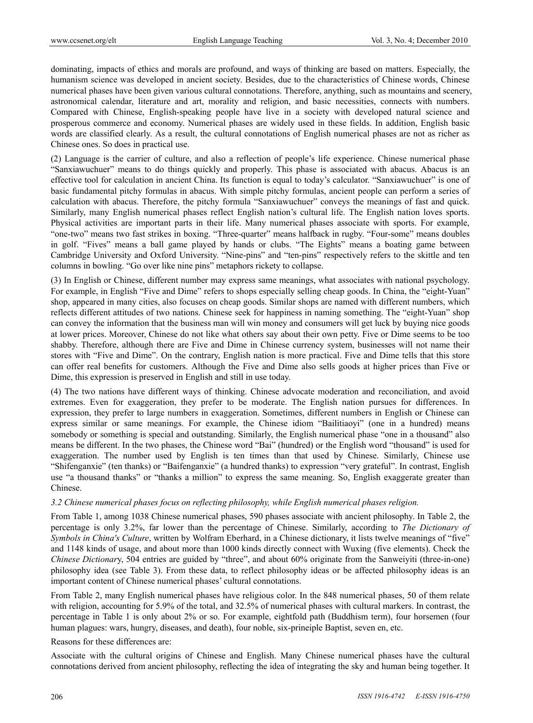dominating, impacts of ethics and morals are profound, and ways of thinking are based on matters. Especially, the humanism science was developed in ancient society. Besides, due to the characteristics of Chinese words, Chinese numerical phases have been given various cultural connotations. Therefore, anything, such as mountains and scenery, astronomical calendar, literature and art, morality and religion, and basic necessities, connects with numbers. Compared with Chinese, English-speaking people have live in a society with developed natural science and prosperous commerce and economy. Numerical phases are widely used in these fields. In addition, English basic words are classified clearly. As a result, the cultural connotations of English numerical phases are not as richer as Chinese ones. So does in practical use.

(2) Language is the carrier of culture, and also a reflection of people's life experience. Chinese numerical phase "Sanxiawuchuer" means to do things quickly and properly. This phase is associated with abacus. Abacus is an effective tool for calculation in ancient China. Its function is equal to today's calculator. "Sanxiawuchuer" is one of basic fundamental pitchy formulas in abacus. With simple pitchy formulas, ancient people can perform a series of calculation with abacus. Therefore, the pitchy formula "Sanxiawuchuer" conveys the meanings of fast and quick. Similarly, many English numerical phases reflect English nation's cultural life. The English nation loves sports. Physical activities are important parts in their life. Many numerical phases associate with sports. For example, "one-two" means two fast strikes in boxing. "Three-quarter" means halfback in rugby. "Four-some" means doubles in golf. "Fives" means a ball game played by hands or clubs. "The Eights" means a boating game between Cambridge University and Oxford University. "Nine-pins" and "ten-pins" respectively refers to the skittle and ten columns in bowling. "Go over like nine pins" metaphors rickety to collapse.

(3) In English or Chinese, different number may express same meanings, what associates with national psychology. For example, in English "Five and Dime" refers to shops especially selling cheap goods. In China, the "eight-Yuan" shop, appeared in many cities, also focuses on cheap goods. Similar shops are named with different numbers, which reflects different attitudes of two nations. Chinese seek for happiness in naming something. The "eight-Yuan" shop can convey the information that the business man will win money and consumers will get luck by buying nice goods at lower prices. Moreover, Chinese do not like what others say about their own petty. Five or Dime seems to be too shabby. Therefore, although there are Five and Dime in Chinese currency system, businesses will not name their stores with "Five and Dime". On the contrary, English nation is more practical. Five and Dime tells that this store can offer real benefits for customers. Although the Five and Dime also sells goods at higher prices than Five or Dime, this expression is preserved in English and still in use today.

(4) The two nations have different ways of thinking. Chinese advocate moderation and reconciliation, and avoid extremes. Even for exaggeration, they prefer to be moderate. The English nation pursues for differences. In expression, they prefer to large numbers in exaggeration. Sometimes, different numbers in English or Chinese can express similar or same meanings. For example, the Chinese idiom "Bailitiaoyi" (one in a hundred) means somebody or something is special and outstanding. Similarly, the English numerical phase "one in a thousand" also means be different. In the two phases, the Chinese word "Bai" (hundred) or the English word "thousand" is used for exaggeration. The number used by English is ten times than that used by Chinese. Similarly, Chinese use "Shifenganxie" (ten thanks) or "Baifenganxie" (a hundred thanks) to expression "very grateful". In contrast, English use "a thousand thanks" or "thanks a million" to express the same meaning. So, English exaggerate greater than Chinese.

## *3.2 Chinese numerical phases focus on reflecting philosophy, while English numerical phases religion.*

From Table 1, among 1038 Chinese numerical phases, 590 phases associate with ancient philosophy. In Table 2, the percentage is only 3.2%, far lower than the percentage of Chinese. Similarly, according to *The Dictionary of Symbols in China's Culture*, written by Wolfram Eberhard, in a Chinese dictionary, it lists twelve meanings of "five" and 1148 kinds of usage, and about more than 1000 kinds directly connect with Wuxing (five elements). Check the *Chinese Dictionar*y, 504 entries are guided by "three", and about 60% originate from the Sanweiyiti (three-in-one) philosophy idea (see Table 3). From these data, to reflect philosophy ideas or be affected philosophy ideas is an important content of Chinese numerical phases' cultural connotations.

From Table 2, many English numerical phases have religious color. In the 848 numerical phases, 50 of them relate with religion, accounting for 5.9% of the total, and 32.5% of numerical phases with cultural markers. In contrast, the percentage in Table 1 is only about 2% or so. For example, eightfold path (Buddhism term), four horsemen (four human plagues: wars, hungry, diseases, and death), four noble, six-prineiple Baptist, seven en, etc.

Reasons for these differences are:

Associate with the cultural origins of Chinese and English. Many Chinese numerical phases have the cultural connotations derived from ancient philosophy, reflecting the idea of integrating the sky and human being together. It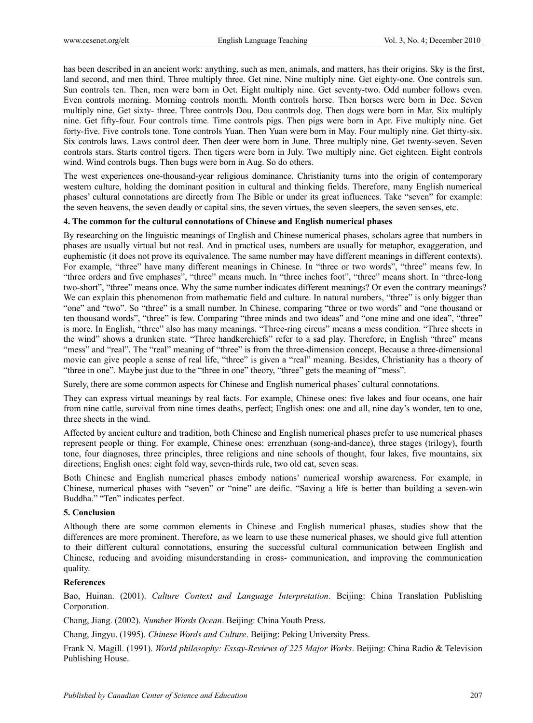has been described in an ancient work: anything, such as men, animals, and matters, has their origins. Sky is the first, land second, and men third. Three multiply three. Get nine. Nine multiply nine. Get eighty-one. One controls sun. Sun controls ten. Then, men were born in Oct. Eight multiply nine. Get seventy-two. Odd number follows even. Even controls morning. Morning controls month. Month controls horse. Then horses were born in Dec. Seven multiply nine. Get sixty- three. Three controls Dou. Dou controls dog. Then dogs were born in Mar. Six multiply nine. Get fifty-four. Four controls time. Time controls pigs. Then pigs were born in Apr. Five multiply nine. Get forty-five. Five controls tone. Tone controls Yuan. Then Yuan were born in May. Four multiply nine. Get thirty-six. Six controls laws. Laws control deer. Then deer were born in June. Three multiply nine. Get twenty-seven. Seven controls stars. Starts control tigers. Then tigers were born in July. Two multiply nine. Get eighteen. Eight controls wind. Wind controls bugs. Then bugs were born in Aug. So do others.

The west experiences one-thousand-year religious dominance. Christianity turns into the origin of contemporary western culture, holding the dominant position in cultural and thinking fields. Therefore, many English numerical phases' cultural connotations are directly from The Bible or under its great influences. Take "seven" for example: the seven heavens, the seven deadly or capital sins, the seven virtues, the seven sleepers, the seven senses, etc.

## **4. The common for the cultural connotations of Chinese and English numerical phases**

By researching on the linguistic meanings of English and Chinese numerical phases, scholars agree that numbers in phases are usually virtual but not real. And in practical uses, numbers are usually for metaphor, exaggeration, and euphemistic (it does not prove its equivalence. The same number may have different meanings in different contexts). For example, "three" have many different meanings in Chinese. In "three or two words", "three" means few. In "three orders and five emphases", "three" means much. In "three inches foot", "three" means short. In "three-long two-short", "three" means once. Why the same number indicates different meanings? Or even the contrary meanings? We can explain this phenomenon from mathematic field and culture. In natural numbers, "three" is only bigger than "one" and "two". So "three" is a small number. In Chinese, comparing "three or two words" and "one thousand or ten thousand words", "three" is few. Comparing "three minds and two ideas" and "one mine and one idea", "three" is more. In English, "three" also has many meanings. "Three-ring circus" means a mess condition. "Three sheets in the wind" shows a drunken state. "Three handkerchiefs" refer to a sad play. Therefore, in English "three" means "mess" and "real". The "real" meaning of "three" is from the three-dimension concept. Because a three-dimensional movie can give people a sense of real life, "three" is given a "real" meaning. Besides, Christianity has a theory of "three in one". Maybe just due to the "three in one" theory, "three" gets the meaning of "mess".

Surely, there are some common aspects for Chinese and English numerical phases' cultural connotations.

They can express virtual meanings by real facts. For example, Chinese ones: five lakes and four oceans, one hair from nine cattle, survival from nine times deaths, perfect; English ones: one and all, nine day's wonder, ten to one, three sheets in the wind.

Affected by ancient culture and tradition, both Chinese and English numerical phases prefer to use numerical phases represent people or thing. For example, Chinese ones: errenzhuan (song-and-dance), three stages (trilogy), fourth tone, four diagnoses, three principles, three religions and nine schools of thought, four lakes, five mountains, six directions; English ones: eight fold way, seven-thirds rule, two old cat, seven seas.

Both Chinese and English numerical phases embody nations' numerical worship awareness. For example, in Chinese, numerical phases with "seven" or "nine" are deific. "Saving a life is better than building a seven-win Buddha." "Ten" indicates perfect.

#### **5. Conclusion**

Although there are some common elements in Chinese and English numerical phases, studies show that the differences are more prominent. Therefore, as we learn to use these numerical phases, we should give full attention to their different cultural connotations, ensuring the successful cultural communication between English and Chinese, reducing and avoiding misunderstanding in cross- communication, and improving the communication quality.

#### **References**

Bao, Huinan. (2001). *Culture Context and Language Interpretation*. Beijing: China Translation Publishing Corporation.

Chang, Jiang. (2002). *Number Words Ocean*. Beijing: China Youth Press.

Chang, Jingyu. (1995). *Chinese Words and Culture*. Beijing: Peking University Press.

Frank N. Magill. (1991). *World philosophy: Essay-Reviews of 225 Major Works*. Beijing: China Radio & Television Publishing House.